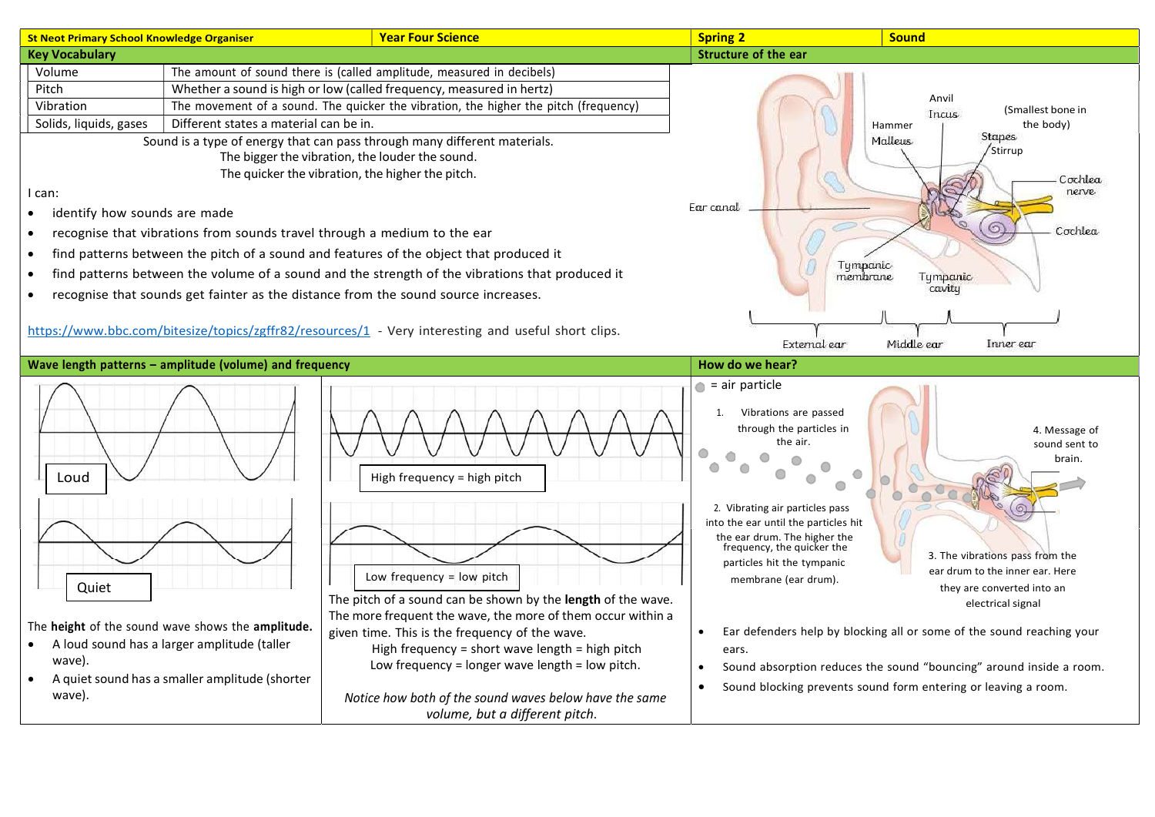| <b>St Neot Primary School Knowledge Organiser</b>                                                                                                                                                                                                                                                                                                                                                                                                                                                                                                                                                                                                                                                                                                                                                                                                                                                                                                                     | <b>Year Four Science</b>                                                                                                                                                                                                                                                                                                                                                                                                                    | <b>Spring 2</b>                                                                                                                                                                                                                                                                                                        | <b>Sound</b>                                                                                                                                                                                                                                                                                                                                                                        |
|-----------------------------------------------------------------------------------------------------------------------------------------------------------------------------------------------------------------------------------------------------------------------------------------------------------------------------------------------------------------------------------------------------------------------------------------------------------------------------------------------------------------------------------------------------------------------------------------------------------------------------------------------------------------------------------------------------------------------------------------------------------------------------------------------------------------------------------------------------------------------------------------------------------------------------------------------------------------------|---------------------------------------------------------------------------------------------------------------------------------------------------------------------------------------------------------------------------------------------------------------------------------------------------------------------------------------------------------------------------------------------------------------------------------------------|------------------------------------------------------------------------------------------------------------------------------------------------------------------------------------------------------------------------------------------------------------------------------------------------------------------------|-------------------------------------------------------------------------------------------------------------------------------------------------------------------------------------------------------------------------------------------------------------------------------------------------------------------------------------------------------------------------------------|
| <b>Key Vocabulary</b>                                                                                                                                                                                                                                                                                                                                                                                                                                                                                                                                                                                                                                                                                                                                                                                                                                                                                                                                                 |                                                                                                                                                                                                                                                                                                                                                                                                                                             | Structure of the ear                                                                                                                                                                                                                                                                                                   |                                                                                                                                                                                                                                                                                                                                                                                     |
| The amount of sound there is (called amplitude, measured in decibels)<br>Volume<br>Pitch<br>Whether a sound is high or low (called frequency, measured in hertz)<br>Vibration<br>The movement of a sound. The quicker the vibration, the higher the pitch (frequency)<br>Solids, liquids, gases<br>Different states a material can be in.<br>Sound is a type of energy that can pass through many different materials.<br>The bigger the vibration, the louder the sound.<br>The quicker the vibration, the higher the pitch.<br>I can:<br>identify how sounds are made<br>$\bullet$<br>recognise that vibrations from sounds travel through a medium to the ear<br>find patterns between the pitch of a sound and features of the object that produced it<br>find patterns between the volume of a sound and the strength of the vibrations that produced it<br>٠<br>recognise that sounds get fainter as the distance from the sound source increases.<br>$\bullet$ |                                                                                                                                                                                                                                                                                                                                                                                                                                             | Ear canal                                                                                                                                                                                                                                                                                                              | Anvil<br>(Smallest bone in<br>Incus<br>the body)<br>Hammer<br><b>Stapes</b><br>Malleus<br>Stirrup<br>Cochlea<br>nerve<br>Cochlea<br>Tympanic<br>membrane<br><b>Tympanic</b><br>cavity                                                                                                                                                                                               |
| https://www.bbc.com/bitesize/topics/zgffr82/resources/1 - Very interesting and useful short clips.                                                                                                                                                                                                                                                                                                                                                                                                                                                                                                                                                                                                                                                                                                                                                                                                                                                                    |                                                                                                                                                                                                                                                                                                                                                                                                                                             |                                                                                                                                                                                                                                                                                                                        | External ear<br>Middle ear<br>Inner ear                                                                                                                                                                                                                                                                                                                                             |
| Wave length patterns - amplitude (volume) and frequency                                                                                                                                                                                                                                                                                                                                                                                                                                                                                                                                                                                                                                                                                                                                                                                                                                                                                                               |                                                                                                                                                                                                                                                                                                                                                                                                                                             | How do we hear?                                                                                                                                                                                                                                                                                                        |                                                                                                                                                                                                                                                                                                                                                                                     |
| Loud<br>Quiet<br>The height of the sound wave shows the amplitude.<br>A loud sound has a larger amplitude (taller<br>wave).<br>A quiet sound has a smaller amplitude (shorter<br>wave).                                                                                                                                                                                                                                                                                                                                                                                                                                                                                                                                                                                                                                                                                                                                                                               | High frequency = high pitch<br>Low frequency = low pitch<br>The pitch of a sound can be shown by the length of the wave.<br>The more frequent the wave, the more of them occur within a<br>given time. This is the frequency of the wave.<br>High frequency = short wave length = high pitch<br>Low frequency = longer wave length = low pitch.<br>Notice how both of the sound waves below have the same<br>volume, but a different pitch. | $\bullet$ = air particle<br>Vibrations are passed<br>through the particles in<br>the air.<br>O<br>$\circ$<br>⋒<br>2. Vibrating air particles pass<br>into the ear until the particles hit<br>the ear drum. The higher the<br>frequency, the quicker the<br>particles hit the tympanic<br>membrane (ear drum).<br>ears. | 4. Message of<br>sound sent to<br>brain.<br>3. The vibrations pass from the<br>ear drum to the inner ear. Here<br>they are converted into an<br>electrical signal<br>Ear defenders help by blocking all or some of the sound reaching your<br>Sound absorption reduces the sound "bouncing" around inside a room.<br>Sound blocking prevents sound form entering or leaving a room. |